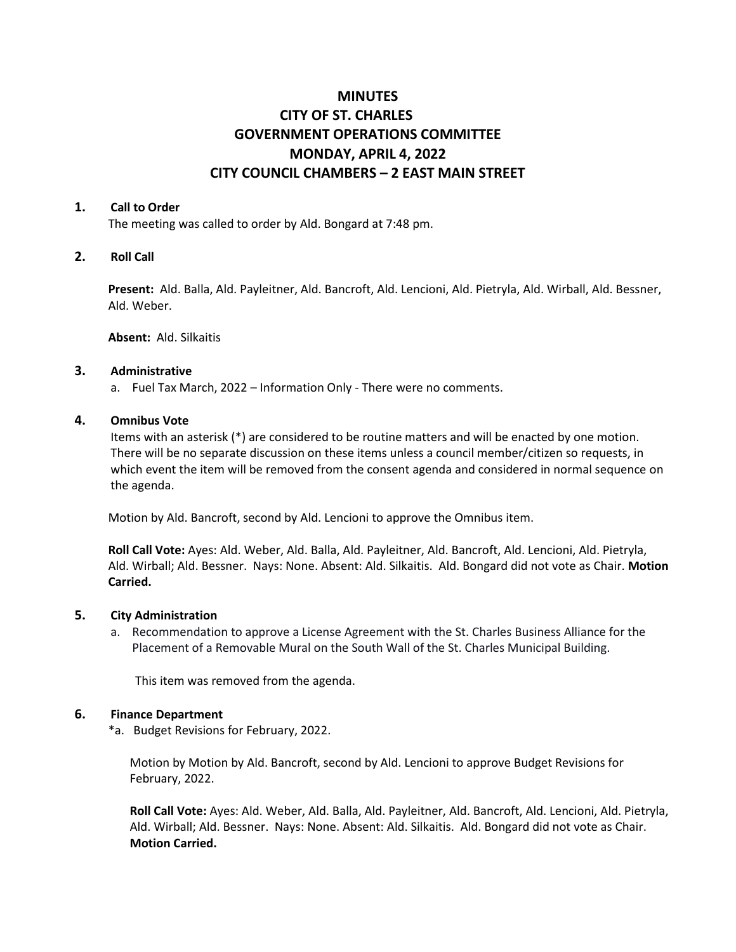# **MINUTES CITY OF ST. CHARLES GOVERNMENT OPERATIONS COMMITTEE MONDAY, APRIL 4, 2022 CITY COUNCIL CHAMBERS – 2 EAST MAIN STREET**

#### **1. Call to Order**

The meeting was called to order by Ald. Bongard at 7:48 pm.

## **2. Roll Call**

**Present:** Ald. Balla, Ald. Payleitner, Ald. Bancroft, Ald. Lencioni, Ald. Pietryla, Ald. Wirball, Ald. Bessner, Ald. Weber.

**Absent:** Ald. Silkaitis

### **3. Administrative**

a. Fuel Tax March, 2022 – Information Only - There were no comments.

# **4. Omnibus Vote**

Items with an asterisk (\*) are considered to be routine matters and will be enacted by one motion. There will be no separate discussion on these items unless a council member/citizen so requests, in which event the item will be removed from the consent agenda and considered in normal sequence on the agenda.

Motion by Ald. Bancroft, second by Ald. Lencioni to approve the Omnibus item.

**Roll Call Vote:** Ayes: Ald. Weber, Ald. Balla, Ald. Payleitner, Ald. Bancroft, Ald. Lencioni, Ald. Pietryla, Ald. Wirball; Ald. Bessner. Nays: None. Absent: Ald. Silkaitis. Ald. Bongard did not vote as Chair. **Motion Carried.** 

## **5. City Administration**

a. Recommendation to approve a License Agreement with the St. Charles Business Alliance for the Placement of a Removable Mural on the South Wall of the St. Charles Municipal Building.

This item was removed from the agenda.

## **6. Finance Department**

\*a. Budget Revisions for February, 2022.

Motion by Motion by Ald. Bancroft, second by Ald. Lencioni to approve Budget Revisions for February, 2022.

**Roll Call Vote:** Ayes: Ald. Weber, Ald. Balla, Ald. Payleitner, Ald. Bancroft, Ald. Lencioni, Ald. Pietryla, Ald. Wirball; Ald. Bessner. Nays: None. Absent: Ald. Silkaitis. Ald. Bongard did not vote as Chair. **Motion Carried.**